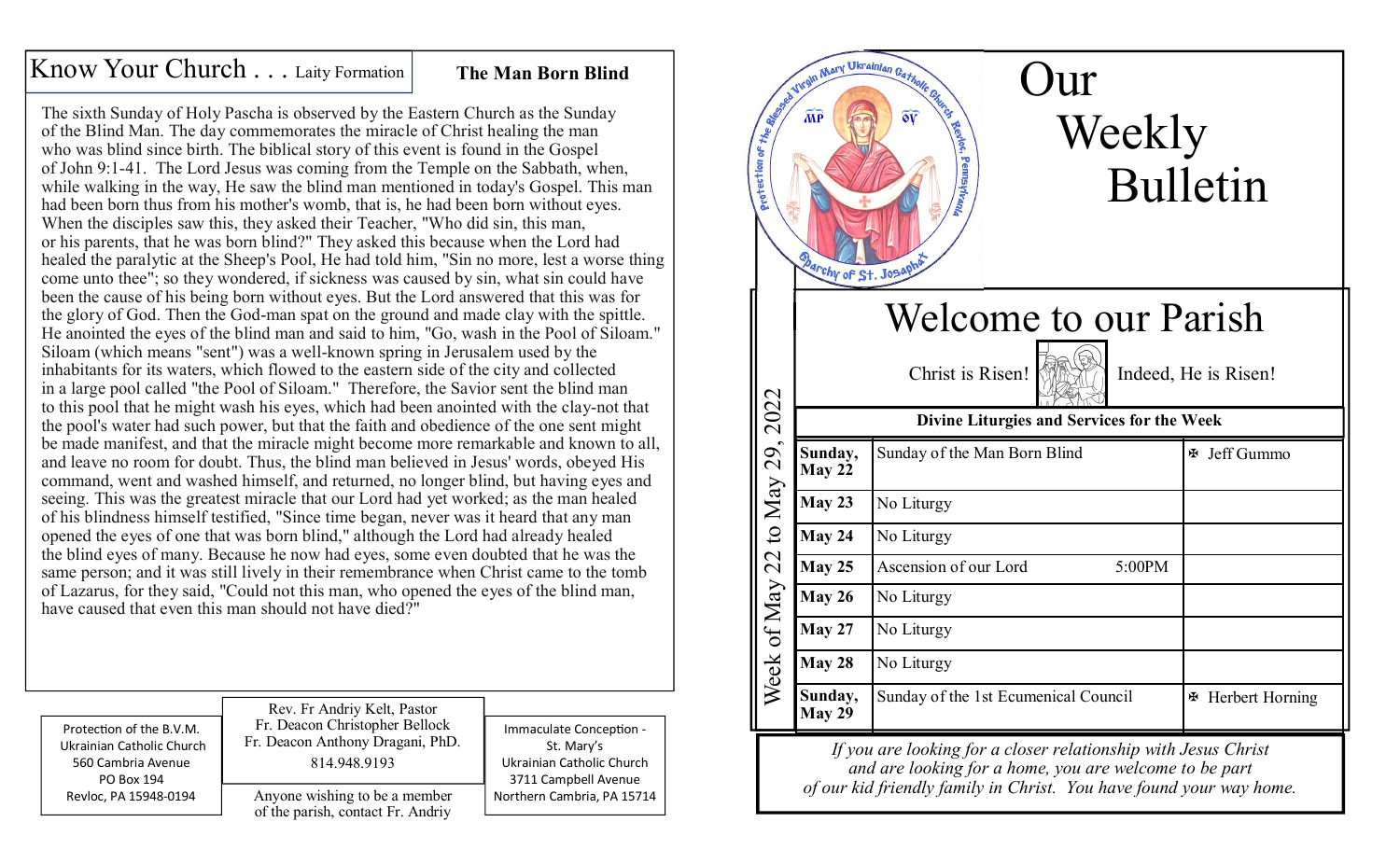## Know Your Church . . . Laity Formation **The Man Born Blind**

The sixth Sunday of Holy Pascha is observed by the Eastern Church as the Sunday of the Blind Man. The day commemorates the miracle of Christ healing the man who was blind since birth. The biblical story of this event is found in the Gospel of John 9:1-41. The Lord Jesus was coming from the Temple on the Sabbath, when, while walking in the way, He saw the blind man mentioned in today's Gospel. This man had been born thus from his mother's womb, that is, he had been born without eyes. When the disciples saw this, they asked their Teacher, "Who did sin, this man, or his parents, that he was born blind?" They asked this because when the Lord had healed the paralytic at the Sheep's Pool, He had told him, "Sin no more, lest a worse thing come unto thee"; so they wondered, if sickness was caused by sin, what sin could have been the cause of his being born without eyes. But the Lord answered that this was for the glory of God. Then the God-man spat on the ground and made clay with the spittle. He anointed the eyes of the blind man and said to him, "Go, wash in the Pool of Siloam." Siloam (which means "sent") was a well-known spring in Jerusalem used by the inhabitants for its waters, which flowed to the eastern side of the city and collected in a large pool called "the Pool of Siloam." Therefore, the Savior sent the blind man to this pool that he might wash his eyes, which had been anointed with the clay-not that the pool's water had such power, but that the faith and obedience of the one sent might be made manifest, and that the miracle might become more remarkable and known to all, and leave no room for doubt. Thus, the blind man believed in Jesus' words, obeyed His command, went and washed himself, and returned, no longer blind, but having eyes and seeing. This was the greatest miracle that our Lord had yet worked; as the man healed of his blindness himself testified, "Since time began, never was it heard that any man opened the eyes of one that was born blind," although the Lord had already healed the blind eyes of many. Because he now had eyes, some even doubted that he was the same person; and it was still lively in their remembrance when Christ came to the tomb of Lazarus, for they said, "Could not this man, who opened the eyes of the blind man, have caused that even this man should not have died?"

| Protection of the B.V.M.  | Rev. Fr Andriy Kelt, Pastor                                        | Immaculate Conception -    |
|---------------------------|--------------------------------------------------------------------|----------------------------|
| Ukrainian Catholic Church | Fr. Deacon Christopher Bellock                                     | St. Mary's                 |
| 560 Cambria Avenue        | Fr. Deacon Anthony Dragani, PhD.                                   | Ukrainian Catholic Church  |
| PO Box 194                | 814.948.9193                                                       | 3711 Campbell Avenue       |
| Revloc, PA 15948-0194     | Anyone wishing to be a member<br>of the parish, contact Fr. Andriy | Northern Cambria, PA 15714 |



*If you are looking for a closer relationship with Jesus Christand are looking for a home, you are welcome to be part of our kid friendly family in Christ. You have found your way home.*